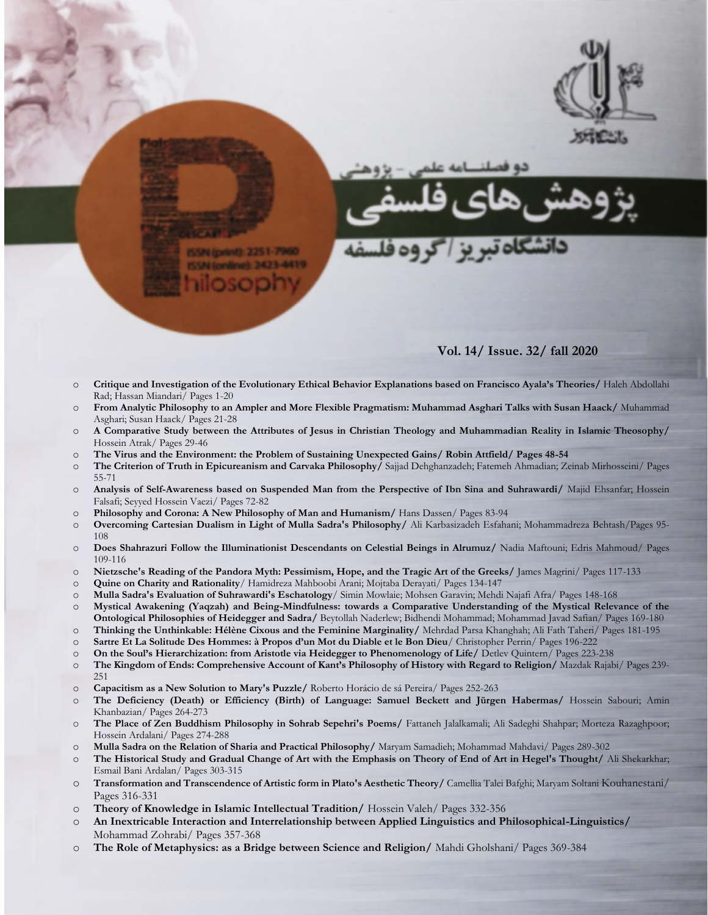

N (print): 2251-7960

## **Vol. 14/ Issue. 32/ fall 2020**

- o **Critique and Investigation of the Evolutionary Ethical Behavior Explanations based on Francisco Ayala's Theories/** Haleh Abdollahi Rad; Hassan Miandari/ Pages 1-20
- o **From Analytic Philosophy to an Ampler and More Flexible Pragmatism: Muhammad Asghari Talks with Susan Haack/** Muhammad Asghari; Susan Haack/ Pages 21-28
- o **A Comparative Study between the Attributes of Jesus in Christian Theology and Muhammadian Reality in Islamic Theosophy/**  Hossein Atrak/ Pages 29-46
- o **The Virus and the Environment: the Problem of Sustaining Unexpected Gains/ Robin Attfield/ Pages 48-54**
- o **The Criterion of Truth in Epicureanism and Carvaka Philosophy/** Sajjad Dehghanzadeh; Fatemeh Ahmadian; Zeinab Mirhosseini/ Pages 55-71
- o **Analysis of Self-Awareness based on Suspended Man from the Perspective of Ibn Sina and Suhrawardi/** Majid Ehsanfar; Hossein Falsafi; Seyyed Hossein Vaezi/ Pages 72-82
- o **Philosophy and Corona: A New Philosophy of Man and Humanism/** Hans Dassen/ Pages 83-94
- o **Overcoming Cartesian Dualism in Light of Mulla Sadra's Philosophy/** Ali Karbasizadeh Esfahani; Mohammadreza Behtash/Pages 95- 108
- o **Does Shahrazuri Follow the Illuminationist Descendants on Celestial Beings in Alrumuz/** Nadia Maftouni; Edris Mahmoud/ Pages 109-116
- o **Nietzsche's Reading of the Pandora Myth: Pessimism, Hope, and the Tragic Art of the Greeks/** James Magrini/ Pages 117-133
- o **Quine on Charity and Rationality**/ Hamidreza Mahboobi Arani; Mojtaba Derayati/ Pages 134-147
- o **Mulla Sadra's Evaluation of Suhrawardi's Eschatology**/ Simin Mowlaie; Mohsen Garavin; Mehdi Najafi Afra/ Pages 148-168
- o **Mystical Awakening (Yaqzah) and Being-Mindfulness: towards a Comparative Understanding of the Mystical Relevance of the Ontological Philosophies of Heidegger and Sadra/** Beytollah Naderlew; Bidhendi Mohammad; Mohammad Javad Safian/ Pages 169-180
- o **Thinking the Unthinkable: Hélène Cixous and the Feminine Marginality/** Mehrdad Parsa Khanghah; Ali Fath Taheri/ Pages 181-195
- o **Sartre Et La Solitude Des Hommes: à Propos d'un Mot du Diable et le Bon Dieu**/ Christopher Perrin/ Pages 196-222
- o **On the Soul's Hierarchization: from Aristotle via Heidegger to Phenomenology of Life/** Detlev Quintern/ Pages 223-238 o **The Kingdom of Ends: Comprehensive Account of Kant's Philosophy of History with Regard to Religion/** Mazdak Rajabi/ Pages 239- 251
- o **Capacitism as a New Solution to Mary's Puzzle/** Roberto Horácio de sá Pereira/ Pages 252-263
- o **The Deficiency (Death) or Efficiency (Birth) of Language: Samuel Beckett and Jürgen Habermas/** Hossein Sabouri; Amin Khanbazian/ Pages 264-273
- o **The Place of Zen Buddhism Philosophy in Sohrab Sepehri's Poems/** Fattaneh Jalalkamali; Ali Sadeghi Shahpar; Morteza Razaghpoor; Hossein Ardalani/ Pages 274-288
- o **Mulla Sadra on the Relation of Sharia and Practical Philosophy/** Maryam Samadieh; Mohammad Mahdavi/ Pages 289-302
- o **The Historical Study and Gradual Change of Art with the Emphasis on Theory of End of Art in Hegel's Thought/** Ali Shekarkhar; Esmail Bani Ardalan/ Pages 303-315
- o **Transformation and Transcendence of Artistic form in Plato's Aesthetic Theory/** Camellia Talei Bafghi; Maryam Soltani Kouhanestani/ Pages 316-331
- o **Theory of Knowledge in Islamic Intellectual Tradition/** Hossein Valeh/ Pages 332-356
- o **An Inextricable Interaction and Interrelationship between Applied Linguistics and Philosophical-Linguistics/**  Mohammad Zohrabi/ Pages 357-368
- o **The Role of Metaphysics: as a Bridge between Science and Religion/** Mahdi Gholshani/ Pages 369-384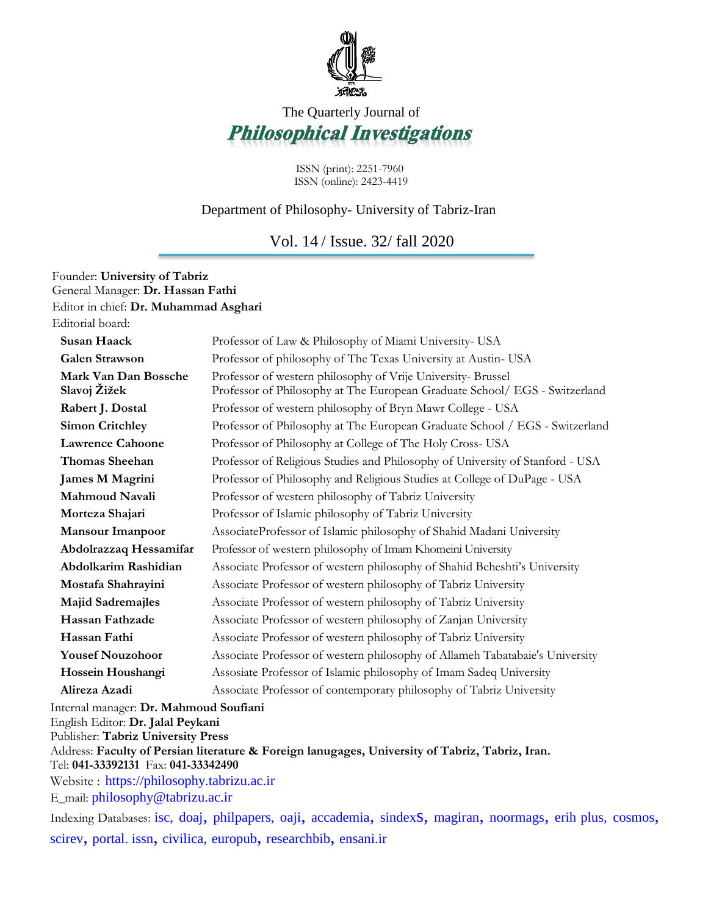

## The Quarterly Journal of **Philosophical Investigations**

ISSN (print): 2251-7960 ISSN (online): 2423-4419

## Department of Philosophy- University of Tabriz-Iran

Vol. 14 / Issue. 32/ fall 2020

| Founder: University of Tabriz<br>General Manager: Dr. Hassan Fathi |                                                                                                                                           |
|--------------------------------------------------------------------|-------------------------------------------------------------------------------------------------------------------------------------------|
| Editor in chief: Dr. Muhammad Asghari                              |                                                                                                                                           |
| Editorial board:                                                   |                                                                                                                                           |
| <b>Susan Haack</b>                                                 | Professor of Law & Philosophy of Miami University- USA                                                                                    |
| <b>Galen Strawson</b>                                              | Professor of philosophy of The Texas University at Austin-USA                                                                             |
| Mark Van Dan Bossche<br>Slavoj Žižek                               | Professor of western philosophy of Vrije University-Brussel<br>Professor of Philosophy at The European Graduate School/ EGS - Switzerland |
| Rabert J. Dostal                                                   | Professor of western philosophy of Bryn Mawr College - USA                                                                                |
| <b>Simon Critchley</b>                                             | Professor of Philosophy at The European Graduate School / EGS - Switzerland                                                               |
| <b>Lawrence Cahoone</b>                                            | Professor of Philosophy at College of The Holy Cross-USA                                                                                  |
| <b>Thomas Sheehan</b>                                              | Professor of Religious Studies and Philosophy of University of Stanford - USA                                                             |
| <b>James M Magrini</b>                                             | Professor of Philosophy and Religious Studies at College of DuPage - USA                                                                  |
| Mahmoud Navali                                                     | Professor of western philosophy of Tabriz University                                                                                      |
| Morteza Shajari                                                    | Professor of Islamic philosophy of Tabriz University                                                                                      |
| <b>Mansour Imanpoor</b>                                            | AssociateProfessor of Islamic philosophy of Shahid Madani University                                                                      |
| Abdolrazzaq Hessamifar                                             | Professor of western philosophy of Imam Khomeini University                                                                               |
| Abdolkarim Rashidian                                               | Associate Professor of western philosophy of Shahid Beheshti's University                                                                 |
| Mostafa Shahrayini                                                 | Associate Professor of western philosophy of Tabriz University                                                                            |
| <b>Majid Sadremajles</b>                                           | Associate Professor of western philosophy of Tabriz University                                                                            |
| Hassan Fathzade                                                    | Associate Professor of western philosophy of Zanjan University                                                                            |
| Hassan Fathi                                                       | Associate Professor of western philosophy of Tabriz University                                                                            |
| <b>Yousef Nouzohoor</b>                                            | Associate Professor of western philosophy of Allameh Tabatabaie's University                                                              |
| Hossein Houshangi                                                  | Assosiate Professor of Islamic philosophy of Imam Sadeq University                                                                        |
| Alireza Azadi                                                      | Associate Professor of contemporary philosophy of Tabriz University                                                                       |
| Internal manager: Dr. Mahmoud Soufiani                             |                                                                                                                                           |

English Editor: **Dr. Jalal Peykani**

Publisher: **Tabriz University Press**

Address: **Faculty of Persian literature & Foreign lanugages, University of Tabriz, Tabriz, Iran.** Tel: **041-33392131** Fax: **041-33342490**

Website : [https://philosophy.tabrizu.ac.ir](https://philosophy.tabrizu.ac.ir/) E\_mail: [philosophy@tabrizu.ac.ir](mailto:philosophy@tabrizu.ac.ir)

Indexing Databases: [isc,](http://ecc.isc.gov.ir/showJournal/22970) [doaj](https://doaj.org/toc/2423-4419?source=%7B%22query%22%3A%7B%22filtered%22%3A%7B%22filter%22%3A%7B%22bool%22%3A%7B%22must%22%3A%5B%7B%22terms%22%3A%7B%22index.issn.exact%22%3A%5B%222251-7960%22%2C%222423-4419%22%5D%7D%7D%2C%7B%22term%22%3A%7B%22_type%22%3A%22article%22%7D%7D%5D%7D%7D%2C%22query%22%3A%7B%22match_all%22%3A%7B%7D%7D%7D%7D%2C%22from%22%3A0%2C%22size%22%3A100%7D), [philpapers,](https://philpapers.org/pub/179262) [oaji](http://oaji.net/journal-detail.html?number=5205), [accademia](https://tabrizu.academia.edu/httpasatidtabrizuacirfapagesdefaultaspxasghari), [sindex](http://www.sindexs.org/JournalList.aspx?ID=2716)s, [magiran](http://www.magiran.com/magtoc.asp?mgID=6373&Number=16), [noormags](https://www.noormags.ir/view/fa/magazine/1221/%D9%BE%DA%98%D9%88%D9%87%D8%B4-%D9%87%D8%A7%DB%8C-%D9%81%D9%84%D8%B3%D9%81%DB%8C), [erih plus,](https://dbh.nsd.uib.no/publiseringskanaler/erihplus/about/criteria_for_inclusion) [cosmos](http://www.cosmosimpactfactor.com/page/journals_details/4139.html), [scirev](https://scirev.org/journal/philosophical-investigations/), [portal. issn](https://portal.issn.org/?q=api/search&search%5b%5d=MUST=abrevktitle,abrevqualinf,additionalentryt,addphyissn,corpname,descsrc,ississn,issni,issuedentryt,keyproper,keyqualinf,keytitle,keyvartitle,mainentryt,mainissn,meetname,nonspeentryt,nospecissn,notcanc,notcancl,notcoden,notinc,notissn,notissnl,orientryt,orissn,otherentryt,othersi,othissn,parententryt,preceissn,precentryt,publiname,publiplace,pubname,pubplace,refissn,repagency,repdate,repplace,srcname,subentryt,subissn,subunit,succissn,sucentryt,supentryt,supparissn,supspeissn,transentryt,transissn,uncname,unirsrc=philosophical&search%5b%5d=MUST=srcname=ROAD&search_id=639449), [civilica,](https://www.civilica.com/Journal-JR_PHILO=%D8%AF%D9%88-%D9%81%D8%B5%D9%84%D9%86%D8%A7%D9%85%D9%87-%D9%BE%DA%98%D9%88%D9%87%D8%B4-%D9%87%D8%A7%DB%8C-%D9%81%D9%84%D8%B3%D9%81%DB%8C.html) [europub](https://europub.co.uk/journals/2751), [researchbib](http://journalseeker.researchbib.com/view/issn/2423-4419), [ensani.ir](http://ensani.ir/fa)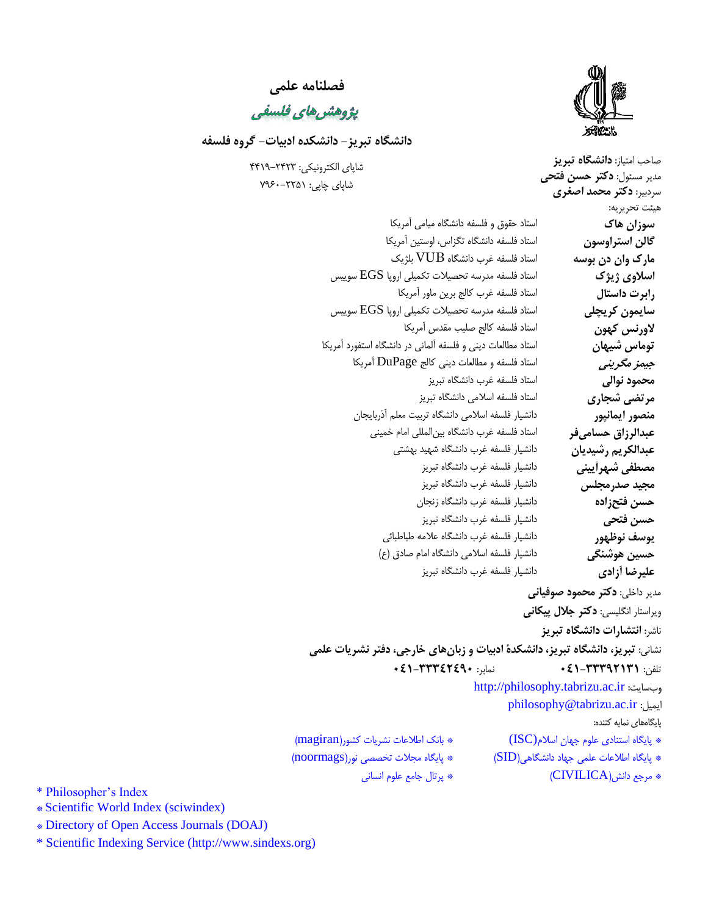

صاحب امتياز: **دانشگاه تبريز**

**فصلنامه علمی**

يژوهش های فلسفی

**دانشگاه تبريز- دانشکده ادبیات- گروه فلسفه** 

شاپای الکترونيکي: 2244-4242 شاپای چاپي: 0497-4424

مدير مسئول: **دکتر حسن فتحی** سردبير: **دکتر محمد اصغری** هيئت تحريريه: مدير داخلي: **دکتر محمود صوفیانی** ويراستار انگليسي: **دکتر جالل پیکانی** ناشر: **انتشارات دانشگاه تبريز** نشاني: **تبريز، دانشگاه تبريز، دانشکدۀ ادبیات و زبانهای خارجی، دفتر نشريات علمی** تلفن: **143-33329333** نمابر: **143-33349421** [http://philosophy.tabrizu.ac.ir](http://philosophy.tabrizu.ac.ir/) :وبسايت [philosophy@tabrizu.ac.ir](mailto:philosophy@tabrizu.ac.ir) :ايميل پايگاههای نمايه کننده: \* پايگاه استنادی علوم جهان اسالم(ISC \* (بانک اطالعات نشريات کشور)magiran) **سوزان هاک** استاد حقوق و فلسفه دانشگاه ميامي آمريکا **گالن استراوسون** استاد فلسفه دانشگاه تگزاس، اوستين آمريکا **مارک وان دن بوسه** استاد فلسفه غرب دانشگاه VUB بلژيک **اسالوی ژيژک** استاد فلسفه مدرسه تحصيالت تکميلي اروپا EGS سوييس **رابرت داستال** استاد فلسفه غرب کالج برين ماور آمريکا **سايمون کريچلی** استاد فلسفه مدرسه تحصيالت تکميلي اروپا EGS سوييس **الورنس کهون** استاد فلسفه کالج صليب مقدس آمريکا **توماس شیهان** استاد مطالعات ديني و فلسفه آلماني در دانشگاه استفورد آمريکا **جیمز مگرينی** استاد فلسفه و مطالعات ديني کالج DuPage آمريکا **محمود نوالی** استاد فلسفه غرب دانشگاه تبريز **مرتضی شجاری** استاد فلسفه اسالمي دانشگاه تبريز **منصور ايمانپور** دانشيار فلسفه اسالمي دانشگاه تربيت معلم آذربايجان **عبدالرزاق حسامیفر** استاد فلسفه غرب دانشگاه بينالمللي امام خميني **عبدالکريم رشیديان** دانشيار فلسفه غرب دانشگاه شهيد بهشتي **مصطفی شهرآيینی** دانشيار فلسفه غرب دانشگاه تبريز **مجید صدرمجلس** دانشيار فلسفه غرب دانشگاه تبريز **حسن فتحزاده** دانشيار فلسفه غرب دانشگاه زنجان **حسن فتحی** دانشيار فلسفه غرب دانشگاه تبريز **يوسف نوظهور** دانشيار فلسفه غرب دانشگاه عالمه طباطبائي **حسین هوشنگی** دانشيار فلسفه اسالمي دانشگاه امام صادق )ع( **علیرضا آزادی** دانشيار فلسفه غرب دانشگاه تبريز

\* پايگاه اطالعات علمي جهاد دانشگاهي)SID \* )پايگاه مجالت تخصصي نور)noormags)

\* مرجع دانش)CIVILICA \* )پرتال جامع علوم انساني

\* Philosopher's Index

\* Scientific World Index (sciwindex)

\* Directory of Open Access Journals (DOAJ)

\* Scientific Indexing Service [\(http://www.sindexs.org\)](http://www.sindexs.org/)